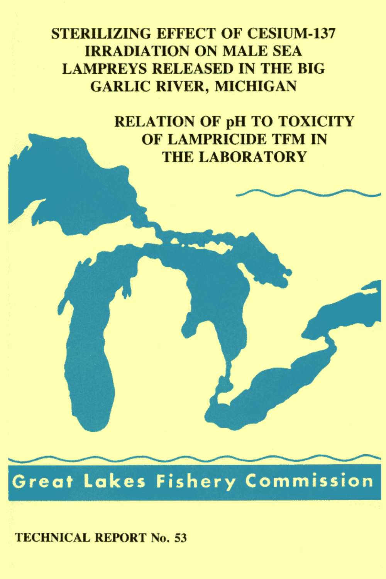**STERILIZING EFFECT OF CESIUM-137 IRRADIATION ON MALE SEA LAMPREYS RELEASED IN THE BIG GARLIC RIVER, MICHIGAN** 

> **RELATION OF pH TO TOXICITY** OF LAMPRICIDE TFM IN **THE LABORATORY**

**Great Lakes Fishery Commission** 

**TECHNICAL REPORT No. 53**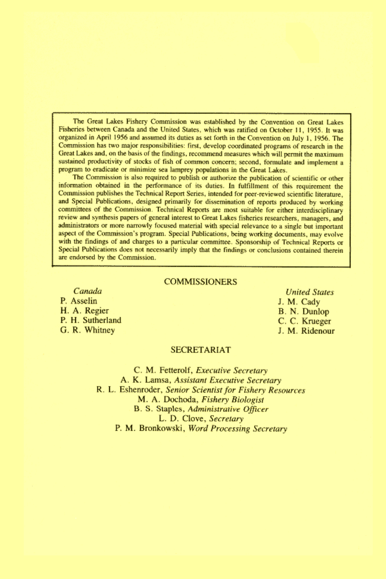The Great Lakes Fishery Commission was established by the Convention on Great Lakes Fisheries between Canada and the United States, which was ratified on October 11, 1955. It was organized in April 1956 and assumed its duties as set forth in the Convention on July 1, 1956. The Commission has two major responsibilities: first, develop coordinated programs of research in the Great Lakes and, on the basis of the findings, recommend measures which will permit the maximum sustained productivity of stocks of fish of common concern; second, formulate and implement a program to eradicate or minimize sea lamprey populations in the Great Lakes.

The Commission is also required to publish or authorize the publication of scientific or other information obtained in the performance of its duties. In fulfillment of this requirement the Commission publishes the Technical Report Series, intended for peer-reviewed scientific literature, and Special Publications, designed primarily for dissemination of reports produced by working committees of the Commission. Technical Reports are most suitable for either interdisciplinary review and synthesis papers of general interest to Great Lakes fisheries researchers, managers, and administrators or more narrowly focused material with special relevance to a single but important aspect of the Commission's program. Special Publications, being working documents, may evolve with the findings of and charges to a particular committee. Sponsorship of Technical Reports or Special Publications does not necessarily imply that the findings or conclusions contained therein are endorsed by the Commission.

#### **COMMISSIONERS**

Canada P. Asselin H. A. Regier P. H. Sutherland G. R. Whitney

**United States** J. M. Cady B. N. Dunlop C. C. Krueger J. M. Ridenour

#### **SECRETARIAT**

C. M. Fetterolf, Executive Secretary A. K. Lamsa, Assistant Executive Secretary R. L. Eshenroder, Senior Scientist for Fishery Resources M. A. Dochoda, Fishery Biologist B. S. Staples, Administrative Officer L. D. Clove, Secretary P. M. Bronkowski, Word Processing Secretary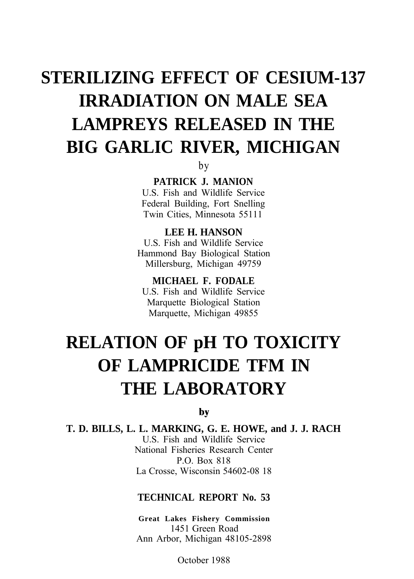# **STERILIZING EFFECT OF CESIUM-137 IRRADIATION ON MALE SEA LAMPREYS RELEASED IN THE BIG GARLIC RIVER, MICHIGAN**

by

**PATRICK J. MANION**

U.S. Fish and Wildlife Service Federal Building, Fort Snelling Twin Cities, Minnesota 55111

**LEE H. HANSON** U.S. Fish and Wildlife Service Hammond Bay Biological Station Millersburg, Michigan 49759

**MICHAEL F. FODALE** U.S. Fish and Wildlife Service Marquette Biological Station Marquette, Michigan 49855

# **RELATION OF pH TO TOXICITY OF LAMPRICIDE TFM IN THE LABORATORY**

by

**T. D. BILLS, L. L. MARKING, G. E. HOWE, and J. J. RACH** U.S. Fish and Wildlife Service National Fisheries Research Center P.O. Box 818 La Crosse, Wisconsin 54602-08 18

## **TECHNICAL REPORT No. 53**

**Great Lakes Fishery Commission** 1451 Green Road Ann Arbor, Michigan 48105-2898

October 1988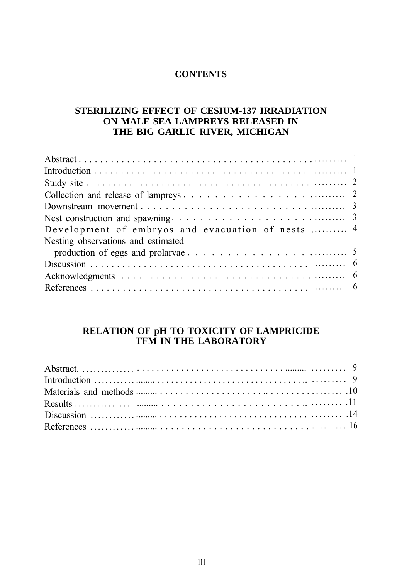## **CONTENTS**

## **STERILIZING EFFECT OF CESIUM-137 IRRADIATION ON MALE SEA LAMPREYS RELEASED IN THE BIG GARLIC RIVER, MICHIGAN**

| Development of embryos and evacuation of nests  4 |  |
|---------------------------------------------------|--|
| Nesting observations and estimated                |  |
|                                                   |  |
|                                                   |  |
|                                                   |  |
|                                                   |  |

## **RELATION OF pH TO TOXICITY OF LAMPRICIDE TFM IN THE LABORATORY**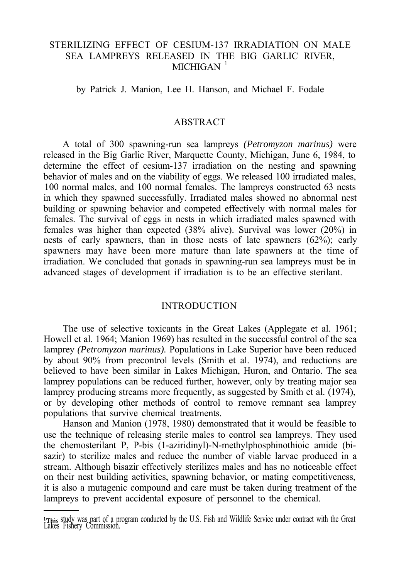## STERILIZING EFFECT OF CESIUM-137 IRRADIATION ON MALE SEA LAMPREYS RELEASED IN THE BIG GARLIC RIVER,  $MICHIGAN$ <sup>1</sup>

by Patrick J. Manion, Lee H. Hanson, and Michael F. Fodale

## ABSTRACT

A total of 300 spawning-run sea lampreys *(Petromyzon marinus)* were released in the Big Garlic River, Marquette County, Michigan, June 6, 1984, to determine the effect of cesium-137 irradiation on the nesting and spawning behavior of males and on the viability of eggs. We released 100 irradiated males, 100 normal males, and 100 normal females. The lampreys constructed 63 nests in which they spawned successfully. Irradiated males showed no abnormal nest building or spawning behavior and competed effectively with normal males for females. The survival of eggs in nests in which irradiated males spawned with females was higher than expected (38% alive). Survival was lower (20%) in nests of early spawners, than in those nests of late spawners (62%); early spawners may have been more mature than late spawners at the time of irradiation. We concluded that gonads in spawning-run sea lampreys must be in advanced stages of development if irradiation is to be an effective sterilant.

#### INTRODUCTION

The use of selective toxicants in the Great Lakes (Applegate et al. 1961; Howell et al. 1964; Manion 1969) has resulted in the successful control of the sea lamprey *(Petromyzon marinus).* Populations in Lake Superior have been reduced by about 90% from precontrol levels (Smith et al. 1974), and reductions are believed to have been similar in Lakes Michigan, Huron, and Ontario. The sea lamprey populations can be reduced further, however, only by treating major sea lamprey producing streams more frequently, as suggested by Smith et al. (1974), or by developing other methods of control to remove remnant sea lamprey populations that survive chemical treatments.

Hanson and Manion (1978, 1980) demonstrated that it would be feasible to use the technique of releasing sterile males to control sea lampreys. They used the chemosterilant P, P-bis (1-aziridinyl)-N-methylphosphinothioic amide (bisazir) to sterilize males and reduce the number of viable larvae produced in a stream. Although bisazir effectively sterilizes males and has no noticeable effect on their nest building activities, spawning behavior, or mating competitiveness, it is also a mutagenic compound and care must be taken during treatment of the lampreys to prevent accidental exposure of personnel to the chemical.

<sup>&#</sup>x27;This study was part of a program conducted by the U.S. Fish and Wildlife Service under contract with the Great Lakes Fishery Commission.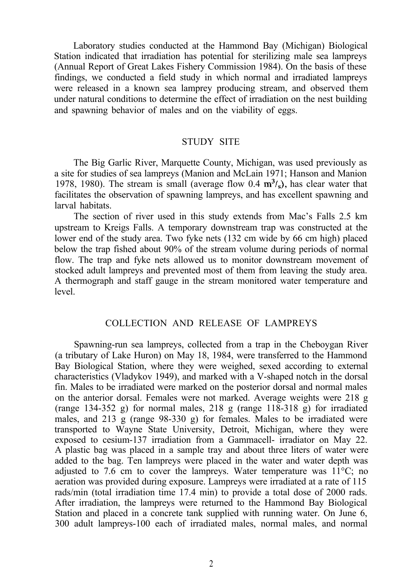Laboratory studies conducted at the Hammond Bay (Michigan) Biological Station indicated that irradiation has potential for sterilizing male sea lampreys (Annual Report of Great Lakes Fishery Commission 1984). On the basis of these findings, we conducted a field study in which normal and irradiated lampreys were released in a known sea lamprey producing stream, and observed them under natural conditions to determine the effect of irradiation on the nest building and spawning behavior of males and on the viability of eggs.

## STUDY SITE

The Big Garlic River, Marquette County, Michigan, was used previously as a site for studies of sea lampreys (Manion and McLain 1971; Hanson and Manion 1978, 1980). The stream is small (average flow  $0.4 \text{ m}^3$ /s), has clear water that facilitates the observation of spawning lampreys, and has excellent spawning and larval habitats.

The section of river used in this study extends from Mac's Falls 2.5 km upstream to Kreigs Falls. A temporary downstream trap was constructed at the lower end of the study area. Two fyke nets (132 cm wide by 66 cm high) placed below the trap fished about 90% of the stream volume during periods of normal flow. The trap and fyke nets allowed us to monitor downstream movement of stocked adult lampreys and prevented most of them from leaving the study area. A thermograph and staff gauge in the stream monitored water temperature and level.

## COLLECTION AND RELEASE OF LAMPREYS

Spawning-run sea lampreys, collected from a trap in the Cheboygan River (a tributary of Lake Huron) on May 18, 1984, were transferred to the Hammond Bay Biological Station, where they were weighed, sexed according to external characteristics (Vladykov 1949), and marked with a V-shaped notch in the dorsal fin. Males to be irradiated were marked on the posterior dorsal and normal males on the anterior dorsal. Females were not marked. Average weights were 218 g (range 134-352 g) for normal males, 218 g (range  $118-318$  g) for irradiated males, and  $213$  g (range  $98-330$  g) for females. Males to be irradiated were transported to Wayne State University, Detroit, Michigan, where they were exposed to cesium-137 irradiation from a Gammacell- irradiator on May 22. A plastic bag was placed in a sample tray and about three liters of water were added to the bag. Ten lampreys were placed in the water and water depth was adjusted to 7.6 cm to cover the lampreys. Water temperature was  $11^{\circ}$ C; no aeration was provided during exposure. Lampreys were irradiated at a rate of 115 rads/min (total irradiation time 17.4 min) to provide a total dose of 2000 rads. After irradiation, the lampreys were returned to the Hammond Bay Biological Station and placed in a concrete tank supplied with running water. On June 6, 300 adult lampreys-100 each of irradiated males, normal males, and normal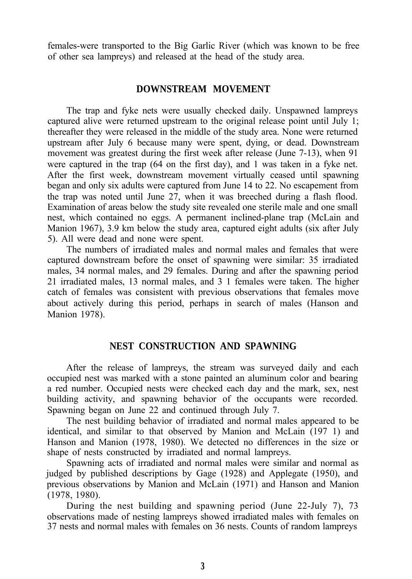females-were transported to the Big Garlic River (which was known to be free of other sea lampreys) and released at the head of the study area.

### **DOWNSTREAM MOVEMENT**

The trap and fyke nets were usually checked daily. Unspawned lampreys captured alive were returned upstream to the original release point until July 1; thereafter they were released in the middle of the study area. None were returned upstream after July 6 because many were spent, dying, or dead. Downstream movement was greatest during the first week after release (June 7-13), when 91 were captured in the trap (64 on the first day), and 1 was taken in a fyke net. After the first week, downstream movement virtually ceased until spawning began and only six adults were captured from June 14 to 22. No escapement from the trap was noted until June 27, when it was breeched during a flash flood. Examination of areas below the study site revealed one sterile male and one small nest, which contained no eggs. A permanent inclined-plane trap (McLain and Manion 1967), 3.9 km below the study area, captured eight adults (six after July 5). All were dead and none were spent.

The numbers of irradiated males and normal males and females that were captured downstream before the onset of spawning were similar: 35 irradiated males, 34 normal males, and 29 females. During and after the spawning period 21 irradiated males, 13 normal males, and 3 1 females were taken. The higher catch of females was consistent with previous observations that females move about actively during this period, perhaps in search of males (Hanson and Manion 1978).

## **NEST CONSTRUCTION AND SPAWNING**

After the release of lampreys, the stream was surveyed daily and each occupied nest was marked with a stone painted an aluminum color and bearing a red number. Occupied nests were checked each day and the mark, sex, nest building activity, and spawning behavior of the occupants were recorded. Spawning began on June 22 and continued through July 7.

The nest building behavior of irradiated and normal males appeared to be identical, and similar to that observed by Manion and McLain (197 1) and Hanson and Manion (1978, 1980). We detected no differences in the size or shape of nests constructed by irradiated and normal lampreys.

Spawning acts of irradiated and normal males were similar and normal as judged by published descriptions by Gage (1928) and Applegate (1950), and previous observations by Manion and McLain (1971) and Hanson and Manion (1978, 1980).

During the nest building and spawning period (June 22-July 7), 73 observations made of nesting lampreys showed irradiated males with females on 37 nests and normal males with females on 36 nests. Counts of random lampreys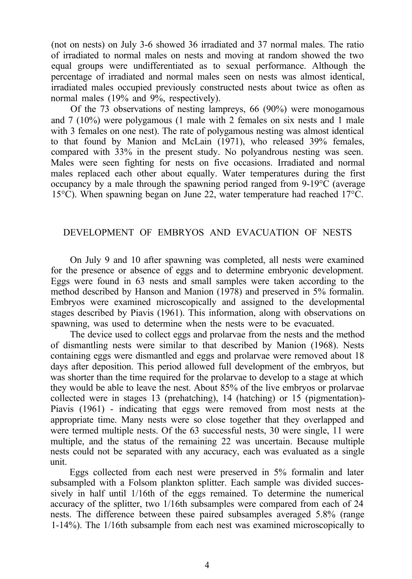(not on nests) on July 3-6 showed 36 irradiated and 37 normal males. The ratio of irradiated to normal males on nests and moving at random showed the two equal groups were undifferentiated as to sexual performance. Although the percentage of irradiated and normal males seen on nests was almost identical, irradiated males occupied previously constructed nests about twice as often as normal males (19% and 9%, respectively).

Of the 73 observations of nesting lampreys, 66 (90%) were monogamous and 7 (10%) were polygamous (1 male with 2 females on six nests and 1 male with 3 females on one nest). The rate of polygamous nesting was almost identical to that found by Manion and McLain (1971), who released 39% females, compared with 33% in the present study. No polyandrous nesting was seen. Males were seen fighting for nests on five occasions. Irradiated and normal males replaced each other about equally. Water temperatures during the first occupancy by a male through the spawning period ranged from 9-19°C (average 15°C). When spawning began on June 22, water temperature had reached 17°C.

## DEVELOPMENT OF EMBRYOS AND EVACUATION OF NESTS

On July 9 and 10 after spawning was completed, all nests were examined for the presence or absence of eggs and to determine embryonic development. Eggs were found in 63 nests and small samples were taken according to the method described by Hanson and Manion (1978) and preserved in 5% formalin. Embryos were examined microscopically and assigned to the developmental stages described by Piavis (1961). This information, along with observations on spawning, was used to determine when the nests were to be evacuated.

The device used to collect eggs and prolarvae from the nests and the method of dismantling nests were similar to that described by Manion (1968). Nests containing eggs were dismantled and eggs and prolarvae were removed about 18 days after deposition. This period allowed full development of the embryos, but was shorter than the time required for the prolarvae to develop to a stage at which they would be able to leave the nest. About 85% of the live embryos or prolarvae collected were in stages 13 (prehatching), 14 (hatching) or 15 (pigmentation)- Piavis (1961) - indicating that eggs were removed from most nests at the appropriate time. Many nests were so close together that they overlapped and were termed multiple nests. Of the 63 successful nests, 30 were single, 11 were multiple, and the status of the remaining 22 was uncertain. Because multiple nests could not be separated with any accuracy, each was evaluated as a single unit.

Eggs collected from each nest were preserved in 5% formalin and later subsampled with a Folsom plankton splitter. Each sample was divided successively in half until 1/16th of the eggs remained. To determine the numerical accuracy of the splitter, two 1/16th subsamples were compared from each of 24 nests. The difference between these paired subsamples averaged 5.8% (range 1-14%). The 1/16th subsample from each nest was examined microscopically to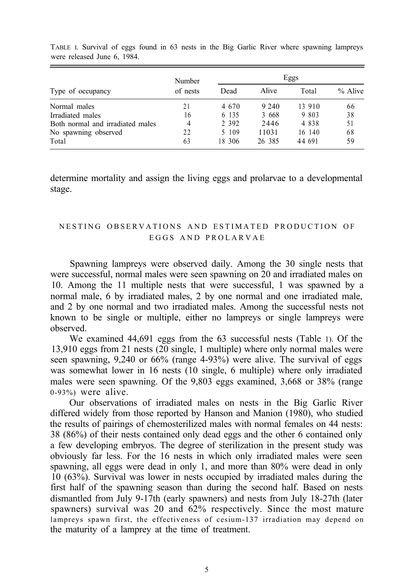|                                  | Number   | Eggs    |         |         |         |
|----------------------------------|----------|---------|---------|---------|---------|
| Type of occupancy                | of nests | Dead    | Alive   | Total   | % Alive |
| Normal males                     | 21       | 4 6 7 0 | 9 2 4 0 | 13 910  | 66      |
| Irradiated males                 | 16       | 6 135   | 3 6 6 8 | 9 803   | 38      |
| Both normal and irradiated males | 4        | 2 3 9 2 | 2446    | 4 8 3 8 | 51      |
| No spawning observed             | 22       | 5 109   | 11031   | 16 140  | 68      |
| Total                            | 63       | 18 306  | 26 385  | 44 691  | 59      |

TABLE I. Survival of eggs found in 63 nests in the Big Garlic River where spawning lampreys were released June 6, 1984.

determine mortality and assign the living eggs and prolarvae to a developmental stage.

## NESTING OBSERVATIONS AND ESTIMATED PRODUCTION OF EGGS AND PROLARVAE

Spawning lampreys were observed daily. Among the 30 single nests that were successful, normal males were seen spawning on 20 and irradiated males on 10. Among the 11 multiple nests that were successful, 1 was spawned by a normal male, 6 by irradiated males, 2 by one normal and one irradiated male, and 2 by one normal and two irradiated males. Among the successful nests not known to be single or multiple, either no lampreys or single lampreys were observed.

We examined 44,691 eggs from the 63 successful nests (Table 1). Of the 13,910 eggs from 21 nests (20 single, 1 multiple) where only normal males were seen spawning, 9,240 or 66% (range 4-93%) were alive. The survival of eggs was somewhat lower in 16 nests (10 single, 6 multiple) where only irradiated males were seen spawning. Of the 9,803 eggs examined, 3,668 or 38% (range 0-93%) were alive.

Our observations of irradiated males on nests in the Big Garlic River differed widely from those reported by Hanson and Manion (1980), who studied the results of pairings of chemosterilized males with normal females on 44 nests: 38 (86%) of their nests contained only dead eggs and the other 6 contained only a few developing embryos. The degree of sterilization in the present study was obviously far less. For the 16 nests in which only irradiated males were seen spawning, all eggs were dead in only 1, and more than 80% were dead in only 10 (63%). Survival was lower in nests occupied by irradiated males during the first half of the spawning season than during the second half. Based on nests dismantled from July 9-17th (early spawners) and nests from July 18-27th (later spawners) survival was 20 and 62% respectively. Since the most mature lampreys spawn first, the effectiveness of cesium-137 irradiation may depend on the maturity of a lamprey at the time of treatment.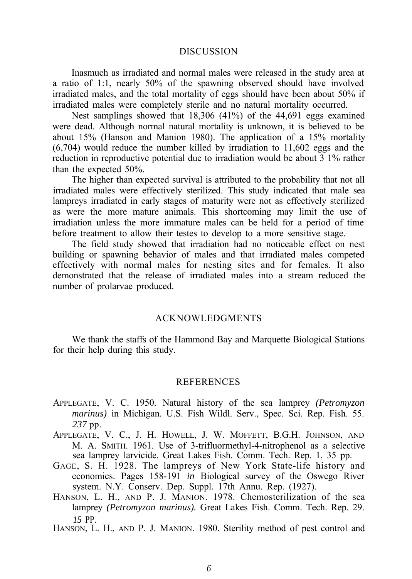#### DISCUSSION

Inasmuch as irradiated and normal males were released in the study area at a ratio of 1:1, nearly 50% of the spawning observed should have involved irradiated males, and the total mortality of eggs should have been about 50% if irradiated males were completely sterile and no natural mortality occurred.

Nest samplings showed that 18,306 (41%) of the 44,691 eggs examined were dead. Although normal natural mortality is unknown, it is believed to be about 15% (Hanson and Manion 1980). The application of a 15% mortality (6,704) would reduce the number killed by irradiation to 11,602 eggs and the reduction in reproductive potential due to irradiation would be about 3 1% rather than the expected 50%.

The higher than expected survival is attributed to the probability that not all irradiated males were effectively sterilized. This study indicated that male sea lampreys irradiated in early stages of maturity were not as effectively sterilized as were the more mature animals. This shortcoming may limit the use of irradiation unless the more immature males can be held for a period of time before treatment to allow their testes to develop to a more sensitive stage.

The field study showed that irradiation had no noticeable effect on nest building or spawning behavior of males and that irradiated males competed effectively with normal males for nesting sites and for females. It also demonstrated that the release of irradiated males into a stream reduced the number of prolarvae produced.

#### ACKNOWLEDGMENTS

We thank the staffs of the Hammond Bay and Marquette Biological Stations for their help during this study.

### **REFERENCES**

- APPLEGATE, V. C. 1950. Natural history of the sea lamprey *(Petromyzon marinus)* in Michigan. U.S. Fish Wildl. Serv., Spec. Sci. Rep. Fish. 55. *237* pp.
- APPLEGATE, V. C., J. H. HOWELL, J. W. MOFFETT, B.G.H. JOHNSON, AND M. A. SMITH. 1961. Use of 3-trifluormethyl-4-nitrophenol as a selective sea lamprey larvicide. Great Lakes Fish. Comm. Tech. Rep. 1. 35 pp.
- GAGE, S. H. 1928. The lampreys of New York State-life history and economics. Pages 158-191 *in* Biological survey of the Oswego River system. N.Y. Conserv. Dep. Suppl. 17th Annu. Rep. (1927).
- HANSON, L. H., AND P. J. MANION. 1978. Chemosterilization of the sea lamprey *(Petromyzon marinus).* Great Lakes Fish. Comm. Tech. Rep. 29. *15* PP.
- HANSON, L. H., AND P. J. MANION. 1980. Sterility method of pest control and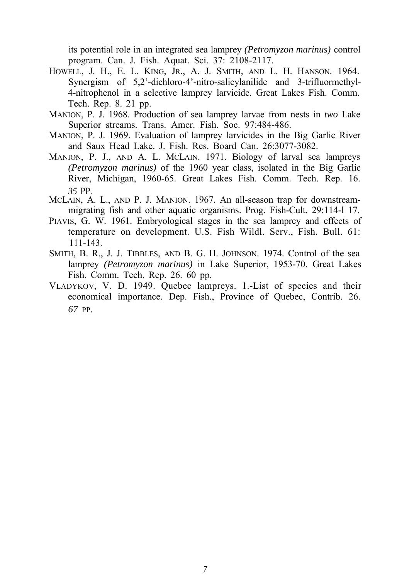its potential role in an integrated sea lamprey *(Petromyzon marinus)* control program. Can. J. Fish. Aquat. Sci. 37: 2108-2117.

- HOWELL, J. H., E. L. KING, JR., A. J. SMITH, AND L. H. HANSON. 1964. Synergism of 5,2'-dichloro-4'-nitro-salicylanilide and 3-trifluormethyl-4-nitrophenol in a selective lamprey larvicide. Great Lakes Fish. Comm. Tech. Rep. 8. 21 pp.
- MANION, P. J. 1968. Production of sea lamprey larvae from nests in *two* Lake Superior streams. Trans. Amer. Fish. Soc. 97:484-486.
- MANION, P. J. 1969. Evaluation of lamprey larvicides in the Big Garlic River and Saux Head Lake. J. Fish. Res. Board Can. 26:3077-3082.
- MANION, P. J., AND A. L. MCLAIN. 1971. Biology of larval sea lampreys *(Petromyzon marinus)* of the 1960 year class, isolated in the Big Garlic River, Michigan, 1960-65. Great Lakes Fish. Comm. Tech. Rep. 16. *35* PP.
- MCLAIN, A. L., AND P. J. MANION. 1967. An all-season trap for downstreammigrating fish and other aquatic organisms. Prog. Fish-Cult. 29:114-l 17.
- PIAVIS, G. W. 1961. Embryological stages in the sea lamprey and effects of temperature on development. U.S. Fish Wildl. Serv., Fish. Bull. 61: 111-143.
- SMITH, B. R., J. J. TIBBLES, AND B. G. H. JOHNSON. 1974. Control of the sea lamprey *(Petromyzon marinus)* in Lake Superior, 1953-70. Great Lakes Fish. Comm. Tech. Rep. 26. 60 pp.
- VLADYKOV, V. D. 1949. Quebec lampreys. 1.-List of species and their economical importance. Dep. Fish., Province of Quebec, Contrib. 26. *67* PP.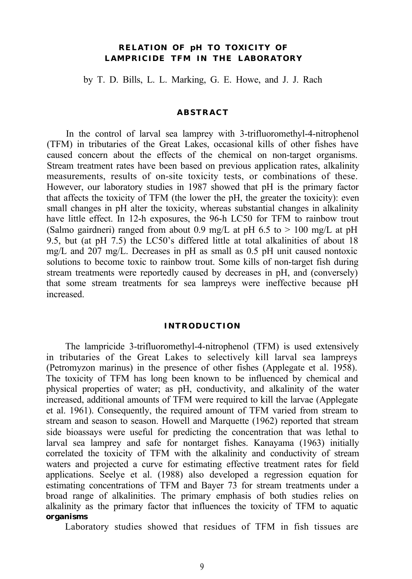## **RELATION OF pH TO TOXICITY OF LAMPRICIDE TFM IN THE LABORATORY**

by T. D. Bills, L. L. Marking, G. E. Howe, and J. J. Rach

#### **ABSTRACT**

In the control of larval sea lamprey with 3-trifluoromethyl-4-nitrophenol (TFM) in tributaries of the Great Lakes, occasional kills of other fishes have caused concern about the effects of the chemical on non-target organisms. Stream treatment rates have been based on previous application rates, alkalinity measurements, results of on-site toxicity tests, or combinations of these. However, our laboratory studies in 1987 showed that pH is the primary factor that affects the toxicity of TFM (the lower the pH, the greater the toxicity): even small changes in pH alter the toxicity, whereas substantial changes in alkalinity have little effect. In 12-h exposures, the 96-h LC50 for TFM to rainbow trout (Salmo gairdneri) ranged from about 0.9 mg/L at pH 6.5 to  $> 100$  mg/L at pH 9.5, but (at pH 7.5) the LC50's differed little at total alkalinities of about 18 mg/L and 207 mg/L. Decreases in pH as small as 0.5 pH unit caused nontoxic solutions to become toxic to rainbow trout. Some kills of non-target fish during stream treatments were reportedly caused by decreases in pH, and (conversely) that some stream treatments for sea lampreys were ineffective because pH increased.

#### **INTRODUCTION**

The lampricide 3-trifluoromethyl-4-nitrophenol (TFM) is used extensively in tributaries of the Great Lakes to selectively kill larval sea lampreys (Petromyzon marinus) in the presence of other fishes (Applegate et al. 1958). The toxicity of TFM has long been known to be influenced by chemical and physical properties of water; as pH, conductivity, and alkalinity of the water increased, additional amounts of TFM were required to kill the larvae (Applegate et al. 1961). Consequently, the required amount of TFM varied from stream to stream and season to season. Howell and Marquette (1962) reported that stream side bioassays were useful for predicting the concentration that was lethal to larval sea lamprey and safe for nontarget fishes. Kanayama (1963) initially correlated the toxicity of TFM with the alkalinity and conductivity of stream waters and projected a curve for estimating effective treatment rates for field applications. Seelye et al. (1988) also developed a regression equation for estimating concentrations of TFM and Bayer 73 for stream treatments under a broad range of alkalinities. The primary emphasis of both studies relies on alkalinity as the primary factor that influences the toxicity of TFM to aquatic **organisms**

Laboratory studies showed that residues of TFM in fish tissues are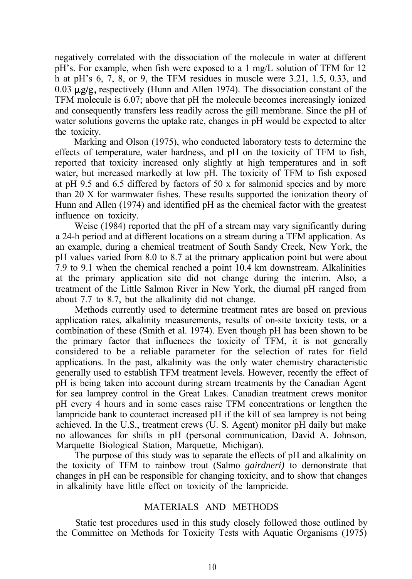negatively correlated with the dissociation of the molecule in water at different pH's. For example, when fish were exposed to a 1 mg/L solution of TFM for 12 h at pH's 6, 7, 8, or 9, the TFM residues in muscle were 3.21, 1.5, 0.33, and 0.03  $\mu$ g/g, respectively (Hunn and Allen 1974). The dissociation constant of the TFM molecule is 6.07; above that pH the molecule becomes increasingly ionized and consequently transfers less readily across the gill membrane. Since the pH of water solutions governs the uptake rate, changes in pH would be expected to alter the toxicity.

Marking and Olson (1975), who conducted laboratory tests to determine the effects of temperature, water hardness, and pH on the toxicity of TFM to fish, reported that toxicity increased only slightly at high temperatures and in soft water, but increased markedly at low pH. The toxicity of TFM to fish exposed at pH 9.5 and 6.5 differed by factors of 50 x for salmonid species and by more than 20 X for warmwater fishes. These results supported the ionization theory of Hunn and Allen (1974) and identified pH as the chemical factor with the greatest influence on toxicity.

Weise (1984) reported that the pH of a stream may vary significantly during a 24-h period and at different locations on a stream during a TFM application. As an example, during a chemical treatment of South Sandy Creek, New York, the pH values varied from 8.0 to 8.7 at the primary application point but were about 7.9 to 9.1 when the chemical reached a point 10.4 km downstream. Alkalinities at the primary application site did not change during the interim. Also, a treatment of the Little Salmon River in New York, the diurnal pH ranged from about 7.7 to 8.7, but the alkalinity did not change.

Methods currently used to determine treatment rates are based on previous application rates, alkalinity measurements, results of on-site toxicity tests, or a combination of these (Smith et al. 1974). Even though pH has been shown to be the primary factor that influences the toxicity of TFM, it is not generally considered to be a reliable parameter for the selection of rates for field applications. In the past, alkalinity was the only water chemistry characteristic generally used to establish TFM treatment levels. However, recently the effect of pH is being taken into account during stream treatments by the Canadian Agent for sea lamprey control in the Great Lakes. Canadian treatment crews monitor pH every 4 hours and in some cases raise TFM concentrations or lengthen the lampricide bank to counteract increased pH if the kill of sea lamprey is not being achieved. In the U.S., treatment crews (U. S. Agent) monitor pH daily but make no allowances for shifts in pH (personal communication, David A. Johnson, Marquette Biological Station, Marquette, Michigan).

The purpose of this study was to separate the effects of pH and alkalinity on the toxicity of TFM to rainbow trout (Salmo *gairdneri)* to demonstrate that changes in pH can be responsible for changing toxicity, and to show that changes in alkalinity have little effect on toxicity of the lampricide.

## MATERIALS AND METHODS

Static test procedures used in this study closely followed those outlined by the Committee on Methods for Toxicity Tests with Aquatic Organisms (1975)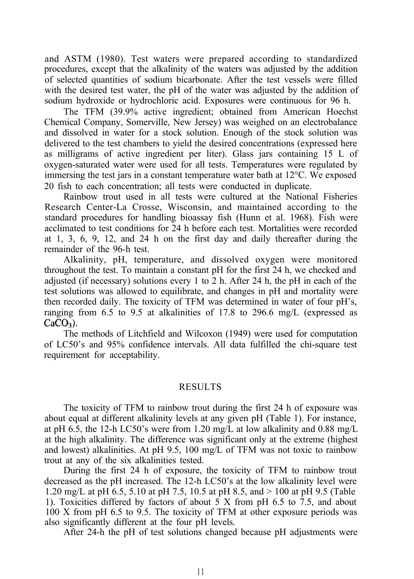and ASTM (1980). Test waters were prepared according to standardized procedures, except that the alkalinity of the waters was adjusted by the addition of selected quantities of sodium bicarbonate. After the test vessels were filled with the desired test water, the pH of the water was adjusted by the addition of sodium hydroxide or hydrochloric acid. Exposures were continuous for 96 h.

The TFM (39.9% active ingredient; obtained from American Hoechst Chemical Company, Somerville, New Jersey) was weighed on an electrobalance and dissolved in water for a stock solution. Enough of the stock solution was delivered to the test chambers to yield the desired concentrations (expressed here as milligrams of active ingredient per liter). Glass jars containing 15 L of oxygen-saturated water were used for all tests. Temperatures were regulated by immersing the test jars in a constant temperature water bath at 12°C. We exposed 20 fish to each concentration; all tests were conducted in duplicate.

Rainbow trout used in all tests were cultured at the National Fisheries Research Center-La Crosse, Wisconsin, and maintained according to the standard procedures for handling bioassay fish (Hunn et al. 1968). Fish were acclimated to test conditions for 24 h before each test. Mortalities were recorded at 1, 3, 6, 9, 12, and 24 h on the first day and daily thereafter during the remainder of the 96-h test.

Alkalinity, pH, temperature, and dissolved oxygen were monitored throughout the test. To maintain a constant pH for the first 24 h, we checked and adjusted (if necessary) solutions every 1 to 2 h. After 24 h, the pH in each of the test solutions was allowed to equilibrate, and changes in pH and mortality were then recorded daily. The toxicity of TFM was determined in water of four pH's, ranging from 6.5 to 9.5 at alkalinities of 17.8 to 296.6 mg/L (expressed as  $CaCO<sub>3</sub>$ ).

The methods of Litchfield and Wilcoxon (1949) were used for computation of LC50's and 95% confidence intervals. All data fulfilled the chi-square test requirement for acceptability.

#### RESULTS

The toxicity of TFM to rainbow trout during the first 24 h of exposure was about equal at different alkalinity levels at any given pH (Table 1). For instance, at pH 6.5, the 12-h LC50's were from 1.20 mg/L at low alkalinity and 0.88 mg/L at the high alkalinity. The difference was significant only at the extreme (highest and lowest) alkalinities. At pH 9.5, 100 mg/L of TFM was not toxic to rainbow trout at any of the six alkalinities tested.

During the first 24 h of exposure, the toxicity of TFM to rainbow trout decreased as the pH increased. The 12-h LC50's at the low alkalinity level were 1.20 mg/L at pH 6.5, 5.10 at pH 7.5, 10.5 at pH 8.5, and > 100 at pH 9.5 (Table 1). Toxicities differed by factors of about  $5 \times$  from pH 6.5 to 7.5, and about 100 X from pH 6.5 to 9.5. The toxicity of TFM at other exposure periods was also significantly different at the four pH levels.

After 24-h the pH of test solutions changed because pH adjustments were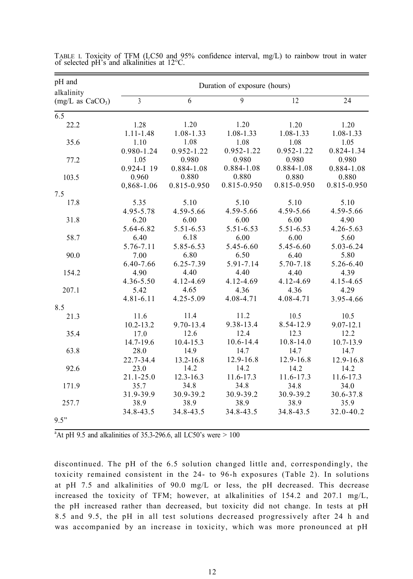| pH and<br>alkalinity       | Duration of exposure (hours) |               |             |               |               |  |
|----------------------------|------------------------------|---------------|-------------|---------------|---------------|--|
| $(mg/L \text{ as } CaCO3)$ | 3                            | 6             | 9           | 12            | 24            |  |
| $\overline{6.5}$           |                              |               |             |               |               |  |
| 22.2                       | 1.28                         | 1.20          | 1.20        | 1.20          | 1.20          |  |
|                            | $1.11 - 1.48$                | 1.08-1.33     | 1.08-1.33   | 1.08-1.33     | 1.08-1.33     |  |
| 35.6                       | 1.10                         | 1.08          | 1.08        | 1.08          | 1.05          |  |
|                            | 0.980-1.24                   | 0.952-1.22    | 0.952-1.22  | 0.952-1.22    | 0.824-1.34    |  |
| 77.2                       | 1.05                         | 0.980         | 0.980       | 0.980         | 0.980         |  |
|                            | $0.924 - I$ 19               | 0.884-1.08    | 0.884-1.08  | 0.884-1.08    | 0.884-1.08    |  |
| 103.5                      | 0.960                        | 0.880         | 0.880       | 0.880         | 0.880         |  |
|                            | 0,868-1.06                   | 0.815-0.950   | 0.815-0.950 | 0.815-0.950   | 0.815-0.950   |  |
| 7.5                        |                              |               |             |               |               |  |
| 17.8                       | 5.35                         | 5.10          | 5.10        | 5.10          | 5.10          |  |
|                            | 4.95-5.78                    | 4.59-5.66     | 4.59-5.66   | 4.59-5.66     | 4.59-5.66     |  |
| 31.8                       | 6.20                         | 6.00          | 6.00        | 6.00          | 4.90          |  |
|                            | 5.64-6.82                    | 5.51-6.53     | 5.51-6.53   | 5.51-6.53     | $4.26 - 5.63$ |  |
| 58.7                       | 6.40                         | 6.18          | 6.00        | 6.00          | 5.60          |  |
|                            | 5.76-7.11                    | 5.85-6.53     | 5.45-6.60   | 5.45-6.60     | 5.03-6.24     |  |
| 90.0                       | 7.00                         | 6.80          | 6.50        | 6.40          | 5.80          |  |
|                            | 6.40-7.66                    | 6.25-7.39     | 5.91-7.14   | 5.70-7.18     | 5.26-6.40     |  |
| 154.2                      | 4.90                         | 4.40          | 4.40        | 4.40          | 4.39          |  |
|                            | 4.36-5.50                    | 4.12-4.69     | 4.12-4.69   | 4.12-4.69     | 4.15-4.65     |  |
| 207.1                      | 5.42                         | 4.65          | 4.36        | 4.36          | 4.29          |  |
|                            | $4.81 - 6.11$                | 4.25-5.09     | 4.08-4.71   | 4.08-4.71     | 3.95-4.66     |  |
| 8.5                        |                              |               |             |               |               |  |
| 21.3                       | 11.6                         | 11.4          | 11.2        | 10.5          | 10.5          |  |
|                            | $10.2 - 13.2$                | 9.70-13.4     | 9.38-13.4   | 8.54-12.9     | $9.07 - 12.1$ |  |
| 35.4                       | 17.0                         | 12.6          | 12.4        | 12.3          | 12.2          |  |
|                            | 14.7-19.6                    | 10.4-15.3     | 10.6-14.4   | $10.8 - 14.0$ | 10.7-13.9     |  |
| 63.8                       | 28.0                         | 14.9          | 14.7        | 14.7          | 14.7          |  |
|                            | 22.7-34.4                    | 13.2-16.8     | 12.9-16.8   | 12.9-16.8     | 12.9-16.8     |  |
| 92.6                       | 23.0                         | 14.2          | 14.2        | 14.2          | 14.2          |  |
|                            | $21.1 - 25.0$                | $12.3 - 16.3$ | 11.6-17.3   | 11.6-17.3     | 11.6-17.3     |  |
| 171.9                      | 35.7                         | 34.8          | 34.8        | 34.8          | 34.0          |  |
|                            | 31.9-39.9                    | 30.9-39.2     | 30.9-39.2   | 30.9-39.2     | 30.6-37.8     |  |
| 257.7                      | 38.9                         | 38.9          | 38.9        | 38.9          | 35.9          |  |
|                            | 34.8-43.5                    | 34.8-43.5     | 34.8-43.5   | 34.8-43.5     | 32.0-40.2     |  |
| 9.5"                       |                              |               |             |               |               |  |

TABLE I. Toxicity of TFM (LC50 and 95% confidence interval, mg/L) to rainbow trout in water of selected pH's and alkalinities at 12°C.

<sup>a</sup>At pH 9.5 and alkalinities of 35.3-296.6, all LC50's were  $> 100$ 

discontinued. The pH of the 6.5 solution changed little and, correspondingly, the toxicity remained consistent in the 24- to 96-h exposures (Table 2). In solutions at pH 7.5 and alkalinities of 90.0 mg/L or less, the pH decreased. This decrease increased the toxicity of TFM; however, at alkalinities of 154.2 and 207.1 mg/L, the pH increased rather than decreased, but toxicity did not change. In tests at pH 8.5 and 9.5, the pH in all test solutions decreased progressively after 24 h and was accompanied by an increase in toxicity, which was more pronounced at pH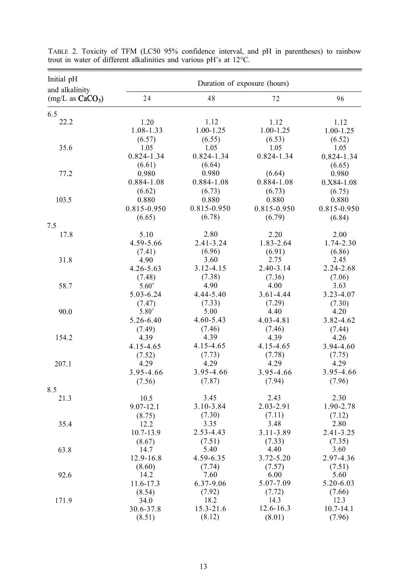| Initial pH<br>and alkalinity | Duration of exposure (hours) |               |             |                 |
|------------------------------|------------------------------|---------------|-------------|-----------------|
| $(mg/L \text{ as } CaCO3)$   | 24                           | 48            | 72          | 96              |
| 6.5                          |                              |               |             |                 |
| 22.2                         | 1.20                         | 1.12          | 1.12        | 1.12            |
|                              | 1.08-1.33                    | 1.00-1.25     | 1.00-1.25   | 1.00-1.25       |
|                              | (6.57)                       | (6.55)        | (6.53)      | (6.52)          |
| 35.6                         | 1.05                         | 1.05          | 1.05        | 1.05            |
|                              | 0.824-1.34                   | 0.824-1.34    | 0.824-1.34  | 0,824-1.34      |
|                              | (6.61)                       | (6.64)        |             | (6.65)          |
| 77.2                         | 0.980                        | 0.980         | (6.64)      | 0.980           |
|                              | 0.884-1.08                   | 0.884-1.08    | 0.884-1.08  | $0. X84 - 1.08$ |
|                              | (6.62)                       | (6.73)        | (6.73)      | (6.75)          |
| 103.5                        | 0.880                        | 0.880         | 0.880       | 0.880           |
|                              | 0.815-0.950                  | 0.815-0.950   | 0.815-0.950 | 0.815-0.950     |
|                              | (6.65)                       | (6.78)        | (6.79)      | (6.84)          |
| 7.5                          |                              |               |             |                 |
| 17.8                         | 5.10                         | 2.80          | 2.20        | 2.00            |
|                              | 4.59-5.66                    | $2.41 - 3.24$ | 1.83-2.64   | 1.74-2.30       |
|                              | (7.41)                       | (6.96)        | (6.91)      | (6.86)          |
| 31.8                         | 4.90                         | 3.60          | 2.75        | 2.45            |
|                              | 4.26-5.63                    | 3.12-4.15     | 2.40-3.14   | 2.24-2.68       |
|                              | (7.48)                       | (7.38)        | (7.36)      | (7.06)          |
| 58.7                         | 5.60'                        | 4.90          | 4.00        | 3.63            |
|                              | 5.03-6.24                    | 4.44-5.40     | 3.61-4.44   | 3.23-4.07       |
|                              | (7.47)                       | (7.33)        | (7.29)      | (7.30)          |
| 90.0                         | 5.80'                        | 5.00          | 4.40        | 4.20            |
|                              | 5.26-6.40                    | 4.60-5.43     | 4.03-4.81   | 3.82-4.62       |
|                              | (7.49)                       | (7.46)        | (7.46)      | (7.44)          |
| 154.2                        | 4.39                         | 4.39          | 4.39        | 4.26            |
|                              | 4.15-4.65                    | 4.15-4.65     | 4.15-4.65   | 3.94-4.60       |
|                              | (7.52)                       | (7.73)        | (7.78)      | (7.75)          |
| 207.1                        | 4.29                         | 4.29          | 4.29        | 4.29            |
|                              | 3.95-4.66                    | 3.95-4.66     | 3.95-4.66   | 3.95-4.66       |
|                              | (7.56)                       | (7.87)        | (7.94)      | (7.96)          |
| 8.5                          |                              |               |             |                 |
| 21.3                         | 10.5                         | 3.45          | 2.43        | 2.30            |
|                              | 9.07-12.1                    | 3.10-3.84     | 2.03-2.91   | 1.90-2.78       |
|                              | (8.75)                       | (7.30)        | (7.11)      | (7.12)          |
| 35.4                         | 12.2                         | 3.35          | 3.48        | 2.80            |
|                              | 10.7-13.9                    | 2.53-4.43     | 3.11-3.89   | 2.41-3.25       |
|                              | (8.67)                       | (7.51)        | (7.33)      | (7.35)          |
| 63.8                         | 14.7                         | 5.40          | 4.40        | 3.60            |
|                              | 12.9-16.8                    | 4.59-6.35     | 3.72-5.20   | 2.97-4.36       |
|                              | (8.60)                       | (7.74)        | (7.57)      | (7.51)          |
| 92.6                         | 14.2                         | 7.60          | 6.00        | 5.60            |
|                              | 11.6-17.3                    | 6.37-9.06     | 5.07-7.09   | 5.20-6.03       |
|                              | (8.54)                       | (7.92)        | (7.72)      | (7.66)          |
| 171.9                        | 34.0                         | 18.2          | 14.3        | 12.3            |
|                              | 30.6-37.8                    | 15.3-21.6     | 12.6-16.3   | $10.7 - 14.1$   |
|                              | (8.51)                       | (8.12)        | (8.01)      | (7.96)          |

TABLE 2. Toxicity of TFM (LC50 95% confidence interval, and pH in parentheses) to rainbow trout in water of different alkalinities and various pH's at 12°C.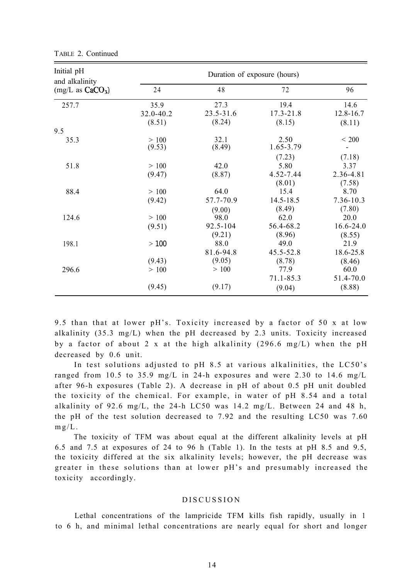| Initial pH<br>and alkalinity<br>$(mg/L \text{ as } CaCO3)$<br>257.7 | Duration of exposure (hours) |                             |                             |                                 |  |
|---------------------------------------------------------------------|------------------------------|-----------------------------|-----------------------------|---------------------------------|--|
|                                                                     | 24                           | 48                          | 72                          | 96                              |  |
|                                                                     | 35.9<br>32.0-40.2            | 27.3<br>23.5-31.6           | 19.4<br>$17.3 - 21.8$       | 14.6<br>12.8-16.7               |  |
| 9.5                                                                 | (8.51)                       | (8.24)                      | (8.15)                      | (8.11)                          |  |
| 35.3                                                                | >100<br>(9.53)               | 32.1<br>(8.49)              | 2.50<br>1.65-3.79           | < 200                           |  |
|                                                                     |                              |                             | (7.23)                      | (7.18)                          |  |
| 51.8                                                                | >100<br>(9.47)               | 42.0<br>(8.87)              | 5.80<br>4.52-7.44<br>(8.01) | 3.37<br>2.36-4.81<br>(7.58)     |  |
| 88.4                                                                | >100<br>(9.42)               | 64.0<br>57.7-70.9           | 15.4<br>14.5-18.5           | 8.70<br>7.36-10.3               |  |
| 124.6                                                               | >100<br>(9.51)               | (9.00)<br>98.0<br>92.5-104  | (8.49)<br>62.0<br>56.4-68.2 | (7.80)<br>20.0<br>$16.6 - 24.0$ |  |
| 198.1                                                               | >100                         | (9.21)<br>88.0<br>81.6-94.8 | (8.96)<br>49.0<br>45.5-52.8 | (8.55)<br>21.9<br>18.6-25.8     |  |
| 296.6                                                               | (9.43)<br>>100               | (9.05)<br>>100              | (8.78)<br>77.9              | (8.46)<br>60.0                  |  |
|                                                                     | (9.45)                       | (9.17)                      | 71.1-85.3<br>(9.04)         | 51.4-70.0<br>(8.88)             |  |

TABLE 2. Continued

9.5 than that at lower pH's. Toxicity increased by a factor of 50 x at low alkalinity  $(35.3 \text{ mg/L})$  when the pH decreased by 2.3 units. Toxicity increased by a factor of about 2 x at the high alkalinity (296.6 mg/L) when the pH decreased by 0.6 unit.

In test solutions adjusted to pH 8.5 at various alkalinities, the LC50's ranged from 10.5 to 35.9 mg/L in 24-h exposures and were 2.30 to 14.6 mg/L after 96-h exposures (Table 2). A decrease in pH of about 0.5 pH unit doubled the toxicity of the chemical. For example, in water of pH 8.54 and a total alkalinity of 92.6 mg/L, the 24-h LC50 was  $14.2 \text{ mg/L}$ . Between 24 and 48 h, the pH of the test solution decreased to 7.92 and the resulting LC50 was 7.60  $mg/L$ .

The toxicity of TFM was about equal at the different alkalinity levels at pH 6.5 and 7.5 at exposures of 24 to 96 h (Table 1). In the tests at pH 8.5 and 9.5, the toxicity differed at the six alkalinity levels; however, the pH decrease was greater in these solutions than at lower pH's and presumably increased the toxicity accordingly.

#### DISCUSSION

Lethal concentrations of the lampricide TFM kills fish rapidly, usually in 1 to 6 h, and minimal lethal concentrations are nearly equal for short and longer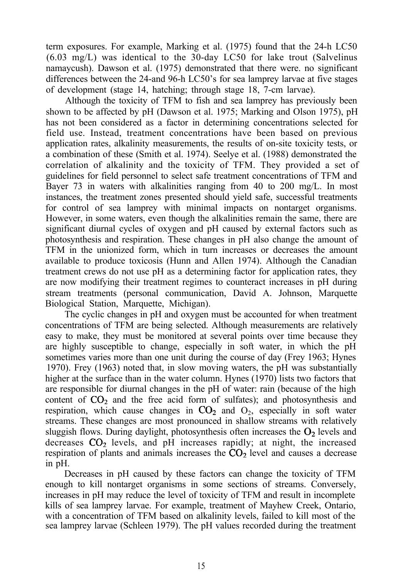term exposures. For example, Marking et al. (1975) found that the 24-h LC50 (6.03 mg/L) was identical to the 30-day LC50 for lake trout (Salvelinus namaycush). Dawson et al. (1975) demonstrated that there were. no significant differences between the 24-and 96-h LC50's for sea lamprey larvae at five stages of development (stage 14, hatching; through stage 18, 7-cm larvae).

Although the toxicity of TFM to fish and sea lamprey has previously been shown to be affected by pH (Dawson et al. 1975; Marking and Olson 1975), pH has not been considered as a factor in determining concentrations selected for field use. Instead, treatment concentrations have been based on previous application rates, alkalinity measurements, the results of on-site toxicity tests, or a combination of these (Smith et al. 1974). Seelye et al. (1988) demonstrated the correlation of alkalinity and the toxicity of TFM. They provided a set of guidelines for field personnel to select safe treatment concentrations of TFM and Bayer 73 in waters with alkalinities ranging from 40 to 200 mg/L. In most instances, the treatment zones presented should yield safe, successful treatments for control of sea lamprey with minimal impacts on nontarget organisms. However, in some waters, even though the alkalinities remain the same, there are significant diurnal cycles of oxygen and pH caused by external factors such as photosynthesis and respiration. These changes in pH also change the amount of TFM in the unionized form, which in turn increases or decreases the amount available to produce toxicosis (Hunn and Allen 1974). Although the Canadian treatment crews do not use pH as a determining factor for application rates, they are now modifying their treatment regimes to counteract increases in pH during stream treatments (personal communication, David A. Johnson, Marquette Biological Station, Marquette, Michigan).

The cyclic changes in pH and oxygen must be accounted for when treatment concentrations of TFM are being selected. Although measurements are relatively easy to make, they must be monitored at several points over time because they are highly susceptible to change, especially in soft water, in which the pH sometimes varies more than one unit during the course of day (Frey 1963; Hynes 1970). Frey (1963) noted that, in slow moving waters, the pH was substantially higher at the surface than in the water column. Hynes (1970) lists two factors that are responsible for diurnal changes in the pH of water: rain (because of the high content of  $CO<sub>2</sub>$  and the free acid form of sulfates); and photosynthesis and respiration, which cause changes in  $CO_2$  and  $O_2$ , especially in soft water streams. These changes are most pronounced in shallow streams with relatively sluggish flows. During daylight, photosynthesis often increases the  $O<sub>2</sub>$  levels and decreases  $CO<sub>2</sub>$  levels, and pH increases rapidly; at night, the increased respiration of plants and animals increases the  $CO<sub>2</sub>$  level and causes a decrease in pH.

Decreases in pH caused by these factors can change the toxicity of TFM enough to kill nontarget organisms in some sections of streams. Conversely, increases in pH may reduce the level of toxicity of TFM and result in incomplete kills of sea lamprey larvae. For example, treatment of Mayhew Creek, Ontario, with a concentration of TFM based on alkalinity levels, failed to kill most of the sea lamprey larvae (Schleen 1979). The pH values recorded during the treatment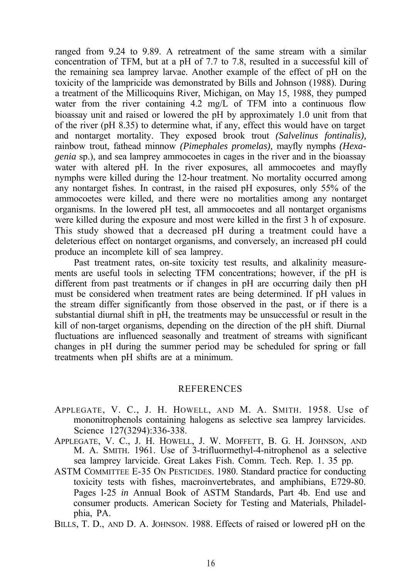ranged from 9.24 to 9.89. A retreatment of the same stream with a similar concentration of TFM, but at a pH of 7.7 to 7.8, resulted in a successful kill of the remaining sea lamprey larvae. Another example of the effect of pH on the toxicity of the lampricide was demonstrated by Bills and Johnson (1988). During a treatment of the Millicoquins River, Michigan, on May 15, 1988, they pumped water from the river containing  $4.2 \text{ mg/L}$  of TFM into a continuous flow bioassay unit and raised or lowered the pH by approximately 1.0 unit from that of the river (pH 8.35) to determine what, if any, effect this would have on target and nontarget mortality. They exposed brook trout *(Salvelinus fontinalis),* rainbow trout, fathead minnow *(Pimephales promelas),* mayfly nymphs *(Hexagenia* sp.), and sea lamprey ammocoetes in cages in the river and in the bioassay water with altered pH. In the river exposures, all ammocoetes and mayfly nymphs were killed during the 12-hour treatment. No mortality occurred among any nontarget fishes. In contrast, in the raised pH exposures, only 55% of the ammocoetes were killed, and there were no mortalities among any nontarget organisms. In the lowered pH test, all ammocoetes and all nontarget organisms were killed during the exposure and most were killed in the first 3 h of exposure. This study showed that a decreased pH during a treatment could have a deleterious effect on nontarget organisms, and conversely, an increased pH could produce an incomplete kill of sea lamprey.

Past treatment rates, on-site toxicity test results, and alkalinity measurements are useful tools in selecting TFM concentrations; however, if the pH is different from past treatments or if changes in pH are occurring daily then pH must be considered when treatment rates are being determined. If pH values in the stream differ significantly from those observed in the past, or if there is a substantial diurnal shift in pH, the treatments may be unsuccessful or result in the kill of non-target organisms, depending on the direction of the pH shift. Diurnal fluctuations are influenced seasonally and treatment of streams with significant changes in pH during the summer period may be scheduled for spring or fall treatments when pH shifts are at a minimum.

## REFERENCES

- APPLEGATE, V. C., J. H. HOWELL, AND M. A. SMITH. 1958. Use of mononitrophenols containing halogens as selective sea lamprey larvicides. Science 127(3294):336-338.
- APPLEGATE, V. C., J. H. HOWELL, J. W. MOFFETT, B. G. H. JOHNSON, AND M. A. SMITH. 1961. Use of 3-trifluormethyl-4-nitrophenol as a selective sea lamprey larvicide. Great Lakes Fish. Comm. Tech. Rep. 1. 35 pp.
- ASTM COMMITTEE E-35 ON PESTICIDES. 1980. Standard practice for conducting toxicity tests with fishes, macroinvertebrates, and amphibians, E729-80. Pages l-25 *in* Annual Book of ASTM Standards, Part 4b. End use and consumer products. American Society for Testing and Materials, Philadelphia, PA.
- BILLS, T. D., AND D. A. JOHNSON. 1988. Effects of raised or lowered pH on the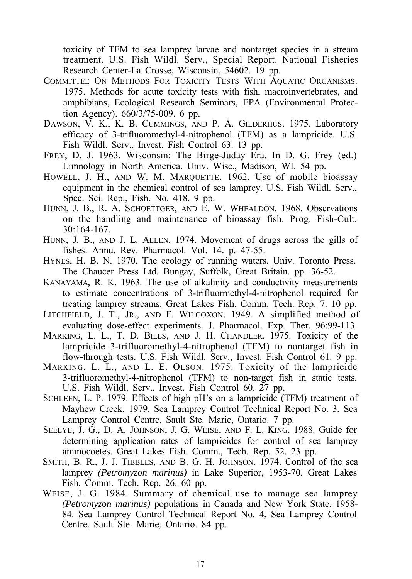toxicity of TFM to sea lamprey larvae and nontarget species in a stream treatment. U.S. Fish Wildl. Serv., Special Report. National Fisheries Research Center-La Crosse, Wisconsin, 54602. 19 pp.

- COMMITTEE ON METHODS FOR TOXICITY TESTS WITH AQUATIC ORGANISMS. 1975. Methods for acute toxicity tests with fish, macroinvertebrates, and amphibians, Ecological Research Seminars, EPA (Environmental Protection Agency). 660/3/75-009. 6 pp.
- DAWSON, V. K., K. B. CUMMINGS, AND P. A. GILDERHUS. 1975. Laboratory efficacy of 3-trifluoromethyl-4-nitrophenol (TFM) as a lampricide. U.S. Fish Wildl. Serv., Invest. Fish Control 63. 13 pp.
- FREY, D. J. 1963. Wisconsin: The Birge-Juday Era. In D. G. Frey (ed.) Limnology in North America. Univ. Wisc., Madison, WI. 54 pp.
- HOWELL, J. H., AND W. M. MARQUETTE. 1962. Use of mobile bioassay equipment in the chemical control of sea lamprey. U.S. Fish Wildl. Serv., Spec. Sci. Rep., Fish. No. 418. 9 pp.
- HUNN, J. B., R. A. SCHOETTGER, AND E. W. WHEALDON. 1968. Observations on the handling and maintenance of bioassay fish. Prog. Fish-Cult. 30:164-167.
- HUNN, J. B., AND J. L. ALLEN. 1974. Movement of drugs across the gills of fishes. Annu. Rev. Pharmacol. Vol. 14. p. 47-55.
- HYNES, H. B. N. 1970. The ecology of running waters. Univ. Toronto Press. The Chaucer Press Ltd. Bungay, Suffolk, Great Britain. pp. 36-52.
- KANAYAMA, R. K. 1963. The use of alkalinity and conductivity measurements to estimate concentrations of 3-trifluormethyl-4-nitrophenol required for treating lamprey streams. Great Lakes Fish. Comm. Tech. Rep. 7. 10 pp.
- LITCHFIELD, J. T., JR., AND F. WILCOXON. 1949. A simplified method of evaluating dose-effect experiments. J. Pharmacol. Exp. Ther. 96:99-113.
- MARKING, L. L., T. D. BILLS, AND J. H. CHANDLER. 1975. Toxicity of the lampricide 3-trifluoromethyl-4-nitrophenol (TFM) to nontarget fish in flow-through tests. U.S. Fish Wildl. Serv., Invest. Fish Control 61. 9 pp.
- MARKING, L. L., AND L. E. OLSON. 1975. Toxicity of the lampricide 3-trifluoromethyl-4-nitrophenol (TFM) to non-target fish in static tests. U.S. Fish Wildl. Serv., Invest. Fish Control 60. 27 pp.
- SCHLEEN, L. P. 1979. Effects of high pH's on a lampricide (TFM) treatment of Mayhew Creek, 1979. Sea Lamprey Control Technical Report No. 3, Sea Lamprey Control Centre, Sault Ste. Marie, Ontario. 7 pp.
- SEELYE, J. G., D. A. JOHNSON, J. G. WEISE, AND F. L. KING. 1988. Guide for determining application rates of lampricides for control of sea lamprey ammocoetes. Great Lakes Fish. Comm., Tech. Rep. 52. 23 pp.
- SMITH, B. R., J. J. TIBBLES, AND B. G. H. JOHNSON. 1974. Control of the sea lamprey *(Petromyzon marinus)* in Lake Superior, 1953-70. Great Lakes Fish. Comm. Tech. Rep. 26. 60 pp.
- WEISE, J. G. 1984. Summary of chemical use to manage sea lamprey *(Petromyzon marinus)* populations in Canada and New York State, 1958- 84. Sea Lamprey Control Technical Report No. 4, Sea Lamprey Control Centre, Sault Ste. Marie, Ontario. 84 pp.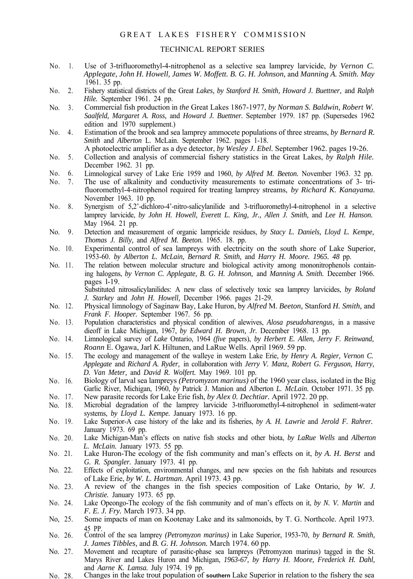#### GREAT LAKES FISHERY COMMISSION

#### TECHNICAL REPORT SERIES

- No. 1. Use of 3-trifluoromethyl-4-nitrophenol as a selective sea lamprey larvicide, *by Vernon C. Applegate, John H. Howell, James W. Moffett. B. G. H. Johnson,* and *Manning A. Smith. May* 1961. 35 pp.
- $N_0$  2. Fishery statistical districts of the Great *Lakes, by Stanford H. Smith, Howard J. Buettner,* and *Ralph Hile.* September 1961. 24 pp.
- $No. 3$ Commercial fish production in *the* Great Lakes 1867-1977, *by Norman S. Baldwin, Robert W. Saalfeld, Margaret A. Ross,* and *Howard J. Buettner.* September 1979. 187 pp. (Supersedes 1962 edition and 1970 supplement.)
- $N_0$  4. Estimation of the brook and sea lamprey ammocete populations of three streams, *by Bernard R. Smith* and *Alberton* L. McLain. September 1962. pages 1-18.
	- A photoelectric amplifier as a dye detector, *by Wesley J. Ebel.* September 1962. pages 19-26.
- No. 5. Collection and analysis of commercial fishery statistics in the Great Lakes, *by Ralph Hile.* December 1962. 31 pp.
- No. 6. Limnological survey of Lake Erie 1959 and 1960, *by Alfred M. Beeton.* November 1963. 32 pp.
- No. 7. The use of alkalinity and conductivity measurements to estimate concentrations of 3- trifluoromethyl-4-nitrophenol required for treating lamprey streams, *by Richard K. Kanayama.* November 1963. 10 pp.
- No. 8. Synergism of 5,2'-dichloro-4'-nitro-salicylanilide and 3-trifluoromethyl-4-nitrophenol in a selective lamprey larvicide, *by John H. Howell, Everett L. King, Jr., Allen J. Smith,* and *Lee H. Hanson.* May 1964. 21 pp.
- No. 9. Detection and measurement of organic lampricide residues, *by Stacy L. Daniels, Lloyd L. Kempe, Thomas J. Billy,* and *Alfred M. Beeton.* 1965. 18. pp.
- No. 10. Experimental control of sea lampreys with electricity on the south shore of Lake Superior, 1953-60. *by Alberton L. McLain, Bernard R. Smith,* and *Harry H. Moore. 1965. 48* pp.
- No. 11. The relation between molecular structure and biological activity among mononitrophenols containing halogens, *by Vernon C. Applegate, B. G. H. Johnson,* and *Manning A. Smith.* December 1966. pages l-19.

Substituted nitrosalicylanilides: A new class of selectively toxic sea lamprey larvicides, *by Roland J. Starkey* and *John H. Howell,* December 1966. pages 21-29.

- No. 12. Physical limnology of Saginaw Bay, Lake Huron, by *Alfred* M. *Beeton,* Stanford *H. Smith,* and *Frank F. Hooper.* September 1967. 56 pp.
- No. 13. Population characteristics and physical condition of alewives, *Alosa pseudoharengus,* in a massive dieoff in Lake Michigan, 1967, *by Edward H. Brown, Jr.* December 1968. 13 pp.
- No. 14. Limnological survey of *Lake* Ontario, 1964 *(five* papers), *by Herbert E. Allen, Jerry F. Reinwand, Roann* E. Ogawa, Jarl *K.* Hiltunen, and LaRue Wells. April 1969. 59 pp.
- No. 15. The ecology and management of the walleye in western Lake Erie, *by Henry A. Regier, Vernon C. Applegate* and *Richard A. Ryder,* in collaboration with *Jerry V. Manz, Robert G. Ferguson, Harry, D. Van Meter,* and *David R. Wolfert.* May 1969. 101 pp.
- No. 16. Biology of larval sea lampreys *(Petromyzon marinus)* of the 1960 year class, isolated in the Big Garlic River, Michigan, 1960, *by* Patrick J. Manion and Alberton *L. McLain.* October 1971. 35 pp.
- No. 17. New parasite records for Lake Erie fish, *by Alex 0. Dechtiar.* April 1972. 20 pp.
- No. 18. Microbial degradation of the lamprey larvicide 3-trifluoromethyl-4-nitrophenol in sediment-water systems, *by Lloyd L. Kempe.* January 1973. 16 pp.
- No. 19. Lake Superior-A case history of the lake and its fisheries, *by A. H. Lawrie* and *Jerold F. Rahrer.* January 1973. 69 pp.
- No. 20. Lake Michigan-Man's effects on native fish stocks and other biota, *by LaRue Wells* and *Alberton L. McLain.* January 1973. 55 pp.
- No. 21. Lake Huron-The ecology of the fish community and man's effects on it, *by A. H. Berst* and *G. R. Spangler.* January 1973. 41 pp.
- No. 22. Effects of exploitation, environmental changes, and new species on the fish habitats and resources of Lake Erie, *by W. L. Hartman.* April 1973. 43 pp.
- No. 23. A review of the changes in the fish species composition of Lake Ontario, *by W. J. Christie.* January 1973. 65 pp.
- No. 24. Lake Opeongo-The ecology of the fish community and of man's effects on it, *by N. V. Martin* and *F. E. J. Fry.* March 1973. 34 pp.
- No, 25. Some impacts of man on Kootenay Lake and its salmonoids, by T. G. Northcole. April 1973.
- No. 26. 45 PP. Control of the sea lamprey *(Petromyzon marinus)* in Lake Superior, 1953-70, *by Bernard R. Smith, J. James Tibbles,* and *B. G. H. Johnson.* March 1974. 60 pp.
- No. 27. Movement and recapture of parasitic-phase sea lampreys (Petromyzon marinus) tagged in the St. Marys River and Lakes Huron and Michigan, *1963-67, by Harry H. Moore, Frederick H. Dahl,* and *Aarne K. Lamsa.* July 1974. 19 pp.
- No. 28. Changes in the lake trout population of **southern** Lake Superior in relation to the fishery the sea